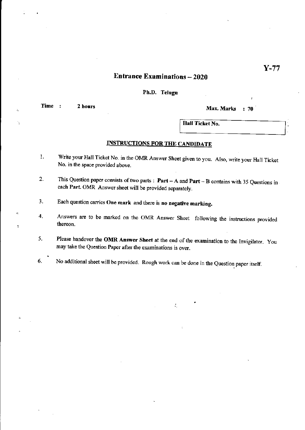### Entrance Examinations - 2020

**Ph.D. Telugu** 

 $\bar{\mathcal{A}}$ 

÷,

 $\geq$ 

 $\overline{\phantom{a}}$ 

**Time : 2 hours 12 19 and 12 and 12 and 13 and 13 and 14 and 15 and 16 and 16 and 16 and 16 and 16 and 16 and 16 and 16 and 16 and 16 and 16 and 16 and 16 and 16 and 16 and 16 and 16 and 16 and 16 and 16 and 16 and 16 and** 

Hall Ticket No.

#### INSTRUCTIONS FOR THE CANDIDATE

- 1. Write your Hall Ticket No. in the OMR Answer Sheet given to you. Also, write your Hall Ticket No. **in** the space provided above.
- 2. This Question paper consists of two parts: **Part**  A and **Part**  B contains with 35 Questions in each **Part.** OMR Answer sheet will be provided separately.
- 3. Each question carries **One mark** and there is **no negative marking.**
- 4. Answers are to be marked on the OMR Answer Sheet following the instructions provided thereon.
- 5. Please handover the **OMR Answer Sheet** at the end of the examination to the Invigilator. You may take the Question Paper after the examinations is over.

 $\mathcal{I}_\mathcal{I}$ 

6. No additional sheet will be provided. Rough work can be done in the Question paper itself.

Y-77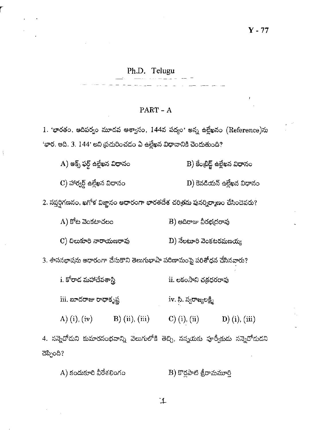## Ph.D. Telugu

#### $PART - A$

1. 'భారతం, ఆదిపర్వం మూడవ ఆశ్వాసం, 144వ పద్యం' అన్న ఉల్లేఖనం (Reference)ను 'భార. ఆది. 3. 144' అని ప్రచురించడం ఏ ఉల్లేఖన విధానానికి చెందుతుంది?

A) ఆక్స్ ఫర్డ్ ఉల్లేఖన విధానం B) కేంటిడ్జ్ ఉల్లేఖన విధానం

 $\mathbf C$ ) హార్వర్డ్ ఉల్లేఖన విధానం  $D$ ) కెనడియన్ ఉల్లేఖన విధానం

 $2$ . సప్తర్షిగణనం, ఖగోళ విజ్ఞానం ఆధారంగా భారతదేశ చరిత్రను పునర్నిర్మాణం చేసిందెవరు?

 $(A)$  కోట వెంకటాచలం  $B)$  ఆదిరాజు వీరభద్రరావు

 $C$ ) చిలుకూరి నారాయణరావు  $\mathbf{D}$ ) నేలటూరి వెంకటరమణయ్య

3. శాసనభాషను ఆధారంగా చేసుకొని తెలుగుభాషా పరిణామంపై పరిశోధన చేసినవారు?

i. కోరాద మహాదేవశాస్త్రి ii. లకంసాని చక్రధరరావు

iii. బూదరాజు రాధాకృష్ణ iv. సి. స్వరాజ్యలక్ష్మి

A) (i), (iv) B) (ii), (iii) C) (i), (ii) D) (i), (iii)

4. నన్నెచోదుని కుమారసంభవాన్ని వెలుగులోకి తెచ్చి, నన్నయకు పూర్వీకుదు నన్నెచోదుదని చెప్పింది?

 $A)$  కందుకూరి వీరేశలింగం  $B)$  కొర్లపాటి శ్రీరామమూర్తి

゙ 1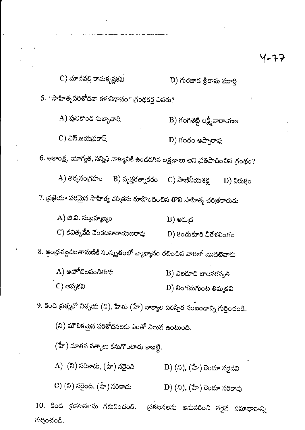$\mathbf C$ ) మానవల్లి రామకృష్ణకవి  $D$ ) గురజాద శ్రీరామ మూర్తి 5. ''సాహిత్యపరిశోధనా కళ:విధానం'' గ్రంథకర్త ఎవరు? A) పులికొంద సుబ్బాచారి  $\mathbf B$ ) గంగిశెట్టి లక్ష్మీనారాయణ  $C$ ) ఎస్.జయమ్రకాష్ D) గంధం అప్పారావు 6. ఆకాంక్ష, యోగ్యత, సన్నిధి వాక్యానికి ఉందదగిన లక్షణాలు అని ప్రతిపాదించిన గ్రంథం? A) తర్మసంగ్రహం B) వృత్తరత్నాకరం C) పాణినీయశిక్ష  $D)$  నిరుక్తం 7. ప్రక్రియా పరమైన సాహిత్య చరిత్రను రూపొందించిన తొలి సాహిత్య చరిత్రకారుడు A) జి.వి. సుబ్రహ్మణ్యం  $B)$  පරා $\beta$ C) కవిత్వవేది వేంకటనారాయణరావు  $D)$  కందుకూరి వీరేశలింగం 8. ఆంధ్రశబ్దచింతామణికి సంస్కృతంలో వ్యాఖ్యానం రచించిన వారిలో మొదటివారు  $A)$  అహోబిలపండితుడు  $\mathbf B$ ) ఎలకూచి బాలసరస్వతి C) అప్పకవి  $D)$  లింగమగుంట తిమ్మకవి 9. కింది ప్రశ్నలో నిశ్చయ (ని), హేతు (హే) వాక్యాల పరస్పర సంబంధాన్ని గుర్తించండి. (ని) మౌలికమైన పరిశోధనలకు ఎంతో విలువ ఉంటుంది. (హే) నూతన సత్యాలు కనుగొంటారు కాబట్టి. A) (ని) సరికాదు, (హే) సరైంది  $\mathbf{B}$ ) (ని), (హే) రెండూ సరైనవి C) (ని) సరైంది. (హే) సరికాదు  $\left(D\right)(\delta)$ , (హే) రెండూ సరికావు

10. కింద ప్రకటనలను గమనించండి. థకటనలను అనుసరించి సరైన సమాధానాన్ని గుర్తించండి.

イーチラ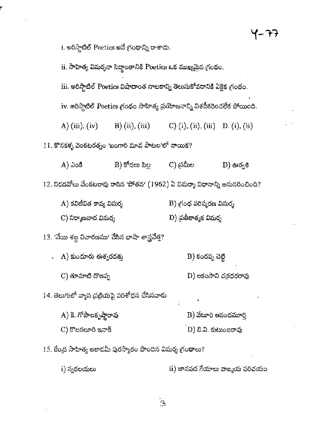i. అరిస్తాటిల్ Poetics అనే గ్రంథాన్ని రాశాదు. ii. సాహిత్య విమర్శనా సిద్ధాంతానికి Poetics ఒక ముఖ్యమైన గ్రంథం.

D) లకంసాని చక్రధరరావు

D) బి.వి. కుటుంబరావు

iii. అరిస్తాటిల్ Poetics విషాదాంత నాటకాన్ని తెలుసుకోవడానికి ఏకైక గ్రంథం.

iv. అరిస్పాటిల్ Poetics గ్రంథం సాహిత్య ప్రయోజనాన్ని విశదీకరించలేక పోయింది.

A) (iii), (iv)  $B)$  (ii), (iii) C) (i), (ii), (iii) D. (i), (ii)

 $11.$  కొనకళ్ళ వెంకటరత్నం 'బంగారి మావ పాటల'లో నాయిక?

C) న్రమీల  $B)$  కోడలు పిల్ల  $A)$  ఎంకి  $\mathbf{D}$ ) ఊర్వశి  $12$ . నిడదవోలు వేంకటరావు రాసిన 'పోతన'  $\left( 1962\right)$  ఏ విమర్శా విధానాన్ని అనుసరించింది?

 $A$ ) కవిజీవిత కావ్య విమర్శ  $\mathbf B)$  గ్రంథ పరిష్కరణ విమర్శ C) నిర్మాణవాద విమర్శ D) ద్రతీకాత్మక విమర్శ

 $13.$  'వేయి శబ్ద విచారణము' చేసిన భాషా శాస్త్రవేత్త?

B) కందప్ప చెట్టి  $A)$  కుందూరు ఈశ్వరదత్తు

14. తెలుగులో వ్యాస ప్రక్రియపై పరిశోధన చేసినవారు

 $C$ ) తూమాటి దొణప్ప

- $A$ ) కె. గోపాలకృష్ణారావు  $\mathbf B$ ) వేటూరి ఆనందమూర్
- $C$ ) కొలకలూరి ఇనాక్

15. కేంద్ర సాహిత్య అకాదమీ పురస్కారం పొందిన విమర్శ గ్రంథాలు?

 $\mathbf{u}$ ) జానపద గేయాలు వాఙ్మయ పరిచయం i) స్వరలయలు

 $\mathbf{B}$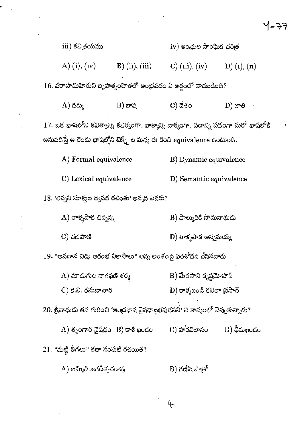$\sim$   $\sim$ 

|                                                                                      |                                 |                                                         | ーチナ           |  |  |  |  |
|--------------------------------------------------------------------------------------|---------------------------------|---------------------------------------------------------|---------------|--|--|--|--|
| iii) కవిత్రయము                                                                       |                                 | iv) ఆంధ్రుల సాంఘిక చరిత                                 |               |  |  |  |  |
|                                                                                      |                                 | A) (i), (iv) B) (ii), (iii) C) (iii), (iv) D) (i), (ii) |               |  |  |  |  |
| 16. వరాహమిహిరుని బృహత్నంహితలో ఆంధ్రపదం ఏ అర్థంలో వాడబడింది?                          |                                 |                                                         |               |  |  |  |  |
| $(A)$ దిక్కు                                                                         | $B)$ భాష                        | $\mathbf C)$ దేశం                                       | $\bf D)$ ಜೌತಿ |  |  |  |  |
| 17. ఒక భాషలోని కవిత్వాన్ని కవిత్వంగా, వాక్యాన్ని వాక్యంగా, పదాన్ని పదంగా మరో భాషలోకి |                                 |                                                         |               |  |  |  |  |
| అనువదిస్తే ఆ రెండు భాషల్లోని టెక్స్ట్ ల మధ్య ఈ కింది equivalence ఉంటుంది.            |                                 |                                                         |               |  |  |  |  |
| A) Formal equivalence                                                                |                                 | B) Dynamic equivalence                                  |               |  |  |  |  |
| C) Lexical equivalence                                                               |                                 | D) Semantic equivalence                                 |               |  |  |  |  |
| 18. 'తిన్నని సూక్తుల ద్విపద రచింతు' అన్నది ఎవరు?                                     |                                 |                                                         |               |  |  |  |  |
| A) తాళ్ళపాక చిన్నన్న                                                                 |                                 | B) పాల్మురికి సోమనాథుడు                                 |               |  |  |  |  |
| $C)$ చక్రపాణి                                                                        |                                 | $\mathbf{D})$ తాళ్ళపాక అన్నమయ్య                         |               |  |  |  |  |
| 19. "అవధాన విద్య ఆరంభ వికాసాలు" అన్న అంశంపై పరిశోధన చేసినవారు                        |                                 |                                                         |               |  |  |  |  |
| $\rm A)$ మాదుగుల నాగఫణి శర్మ                                                         |                                 | B) మేదసాని కృష్ణమోహన్                                   |               |  |  |  |  |
| C) కె.వి. రమణాచారి                                                                   |                                 | $D$ ) రాళ్ళబండి కవితా (పసాద్                            |               |  |  |  |  |
| $20.$ శ్రీనాథుడు తన గురించి 'ఆంధ్రభాష నైషధాబ్జభవుడనని' ఏ కావ్యంలో చెప్పుకున్నాడు?    |                                 |                                                         |               |  |  |  |  |
|                                                                                      | A) శృంగార నైషధం $B$ ) కాశీ ఖండం | C) హరవిలాసం                                             | $D)$ భీమఖందం  |  |  |  |  |
| 21. "మట్టి తీగలు" కథా సంపుటి రచయిత?                                                  |                                 |                                                         |               |  |  |  |  |
| A) బమ్మిడి జగదీశ్వరరావు                                                              |                                 | B) గణేష్ పాత్రో                                         |               |  |  |  |  |

 $\label{eq:2.1} \frac{1}{\sqrt{2}}\left(\frac{1}{\sqrt{2}}\right)^{2} \left(\frac{1}{\sqrt{2}}\right)^{2} \left(\frac{1}{\sqrt{2}}\right)^{2} \left(\frac{1}{\sqrt{2}}\right)^{2} \left(\frac{1}{\sqrt{2}}\right)^{2} \left(\frac{1}{\sqrt{2}}\right)^{2} \left(\frac{1}{\sqrt{2}}\right)^{2} \left(\frac{1}{\sqrt{2}}\right)^{2} \left(\frac{1}{\sqrt{2}}\right)^{2} \left(\frac{1}{\sqrt{2}}\right)^{2} \left(\frac{1}{\sqrt{2}}\right)^{2} \left(\$ 

 $\label{eq:2} \frac{1}{\left\| \left( \frac{1}{\sqrt{2}} \right) \right\|_{\mathcal{H}^1} \leq \frac{1}{\sqrt{2}} \left( \frac{1}{\sqrt{2}} \right)^{1/2}$ 

 $\label{eq:2} \frac{1}{\sqrt{2}}\left(\frac{1}{\sqrt{2}}\right)^{2} \left(\frac{1}{\sqrt{2}}\right)^{2} \left(\frac{1}{\sqrt{2}}\right)^{2} \left(\frac{1}{\sqrt{2}}\right)^{2} \left(\frac{1}{\sqrt{2}}\right)^{2} \left(\frac{1}{\sqrt{2}}\right)^{2} \left(\frac{1}{\sqrt{2}}\right)^{2} \left(\frac{1}{\sqrt{2}}\right)^{2} \left(\frac{1}{\sqrt{2}}\right)^{2} \left(\frac{1}{\sqrt{2}}\right)^{2} \left(\frac{1}{\sqrt{2}}\right)^{2} \left(\frac{$ 

 $\frac{1}{2}$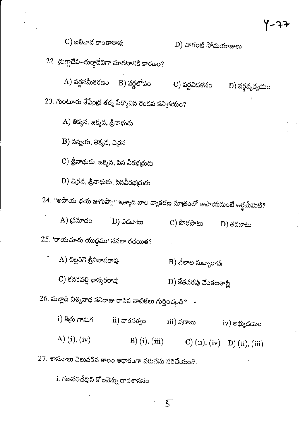| $\mathbf C$ ) బలివాద కాంతారావు                                             | D) చాగంటి సోమయాజులు                        |  |  |  |  |  |  |
|----------------------------------------------------------------------------|--------------------------------------------|--|--|--|--|--|--|
| 22. దుగ్గాదేవి–దుర్గాదేవిగా మారటానికి కారణం?                               |                                            |  |  |  |  |  |  |
| $\bm{A})$ వర్ణసమీకరణం $\bm{B})$ వర్ణలోపం                                   | C) వర్ణవిదళనం<br>D) వర్ణవ్యత్యయం           |  |  |  |  |  |  |
| $23$ . గుంటూరు శేషేంద్ర శర్మ పేర్కొనిన రెండవ కవిత్రయం?                     |                                            |  |  |  |  |  |  |
| A) తిక్మన, జక్మన, శ్రీనాథుడు                                               |                                            |  |  |  |  |  |  |
| $\, {\bf B}) \,$ నన్నయ, తిక్మన, ఎర్రన                                      |                                            |  |  |  |  |  |  |
| C) త్రీనాథుడు, జక్మన, పిన వీరభఁదుడు                                        |                                            |  |  |  |  |  |  |
| $\ket{\text{D}}$ ఎ(రన, త్రీనాథుడు, పినవీరభ(దుడు                            |                                            |  |  |  |  |  |  |
| 24. "అపాయ భయ జుగుప్పా" ఇత్యాది బాల వ్యాకరణ సూత్రంలో అపాయమంటే అర్థమేమిటి?   |                                            |  |  |  |  |  |  |
| A) <sub>(</sub> పమాదం<br>- B) ఎదబాటు                                       | C) పొరపాటు<br>$\mathbf D$ ) తదబాటు         |  |  |  |  |  |  |
| 25. 'రాయచూరు యుద్ధము' నవలా రచయిత?                                          |                                            |  |  |  |  |  |  |
| A) చిల్లరిగె శ్రీనివాసరావు                                                 | B) వేలాల సుబ్బారావు                        |  |  |  |  |  |  |
| C) కనకవల్లి భాస్మరరావు                                                     | ${\rm D})$ కేతవరపు వేంకటశాస్త్రి           |  |  |  |  |  |  |
| $26$ . మల్లాది విశ్వనాథ కవిరాజు రాసిన నాటికలు గుర్తించండి? $\;\;\cdot\;\;$ |                                            |  |  |  |  |  |  |
| i) కిద్రు గానుగ<br>ii) వారసత్ <sub>వ</sub> ం                               | iii) షరాబు<br>iv) అభ్యుదయం                 |  |  |  |  |  |  |
| A) (i), (iv)                                                               | B) (i), (iii) C) (ii), (iv) D) (ii), (iii) |  |  |  |  |  |  |
| $27.$ శాసనాలు వెలువడిన కాలం ఆధారంగా వరుసను సరిచేయండి.                      |                                            |  |  |  |  |  |  |

i. గణపతిదేవుని కోలవెన్ను దానశాసనం

 $\ddot{\phantom{a}}$ 

 $\ddot{\phantom{0}}$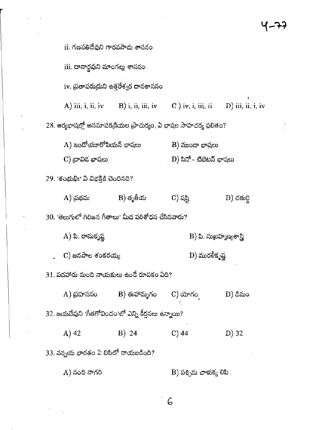ii. గణపతిదేవుని గారవపాదు శాసనం iii. దానార్జవుని మాంగల్లు శాసనం iv. ద్రతాపరుద్రుని ఉత్తరేశ్వర దానశాసనం  $C$  ) iv, i, iii, ii  $A)$  iii, i, ii, iv  $B)$  i, ii, iii, iv  $D)$  iii, ii, i, iv 28. ఆర్యభాషల్లో అసమాపక్రకియల ప్రాచుర్యం, ఏ భాషల సాహచర్య ఫలితం?  $A)$  ఇందోయూరోపియన్ భాషలు  $\mathbf B$ ) ముందా భాషలు  $C$ ) దావిద భాషలు D) సినో – టిబెటన్ భాషలు 29. 'శంభుభిః' ఏ విభక్తికి చెందినది?  $B)$  తృతీయ A) <sub>(</sub>పథమ C) షష్టి  $\ket{\text{D}}$  చతుర్ది 30. 'తెలుగులో గిరిజన గీతాలు' మీద పరిశోధన చేసినవారు? A) పి. రామకృష్ణ  $\ket{\mathrm{B}}$  పి. సుబ్రహ్మణ్యశాస్త్రి  $\mathbf C$ ) జనపాల శంకరయ్య D) మురళీకృష్ణ 31. పదహారు మంది నాయకులు ఉండే రూపకం ఏది?  $D)$  డిమం  $A)$  ద్రహసనం  $\mathbf B$ ) ఈహామృగం  $C)$  యోగం  $32.$  జయదేవుని 'గీతగోవిందం'లో ఎన్ని కీర్తనలు ఉన్నాయి?  $A)$  42 B) 24  $C$ ) 44  $D)$  32 33. నన్నయ భారతం ఏ లిపిలో రాయబడింది?  $B$ ) పశ్చిమ చాళుక్య లిపి A) నంది నాగరి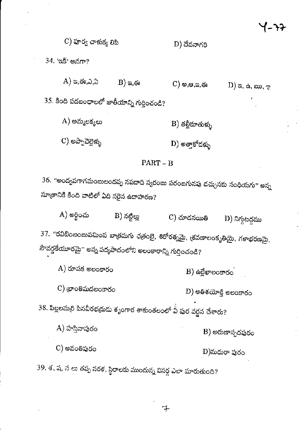#### $\mathbf C$ ) పూర్వ చాళుక్య లిపి D) దేవనాగరి

34. 'ఇక్' అనగా?

 $A)$  ఇ,ఈ,ఎ,ఏ  $B)$  කු, ඡෘ  $C)$  ම,ෂ,තු,ఈ

 $D)$  a,  $\alpha$ ,  $\infty$ ,  $\gamma$ 

 $35$ . కింది పదబంధాలలో జాతీయాన్ని గుర్తించండి?

- $A)$  అమ్మలక్కలు  $B)$  తల్లీకూతుళ్ళు
- $\mathbf C$ ) అప్పాచెల్లెళ్ళు  $\mathbf{D})$  అత్తాకోదళ్ళు

### $PART - B$

36. "అంద్వవగాగమంబులందప్ప నపదాది స్వరంబు పరంబగునపు డచ్చునకు సంధియగు" అన్న సూత్రానికి కింది వాటిలో ఏది సరైన ఉదాహరణ?

A) అర్ధించు B) నట్టిల్లు  $\mathbf C$ ) చూడనయితి  $D)$  నిగ్గటద్దము 37. "రవిబింబంబుపమింప బాత్రమగు ఛత్రంబై, శిరోరత్నమై, న్రవణాలంకృతియై, గళాభరణమై, సౌవర్ణకేయూరమై'' అన్న పద్యపాదంలోని అలంకారాన్ని గుర్తించండి?

 $A)$  రూపక అలంకారం  $B)$  ఉల్లేఖాలంకారం  $\mathbf C)$  (భాంతిమదలంకారం  $\left(\mathrm{D}\right)$  అతిశయోక్తి అలంకారం 38. పిల్లలమర్రి పినవీరభద్రుడు శృంగార శాకుంతలంలో ఏ పుర వర్ణన చేశారు? A) హసినాపురం B) అరుణాస్పదపురం C) అవంతిపురం  $D)$ మధురా పురం

39. శ, ష, స లు తప్ప సరళ, స్థిరాలకు ముందున్న విసర్గ ఎలా మారుతుంది?

チ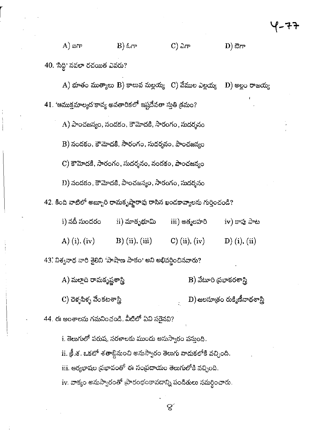$B)$  ಓಗ್  $(A)$  ಐಗ್  $\mathbf C$ ) ವಿಗ್  $D)$  ಔಗ್ 40. 'సిద్ది' నవలా రచయిత ఎవరు?

 $\rm A)$  భూతం ముత్యాలు  $\rm B)$  కాలువ మల్లయ్య  $\rm ~C)$  వేముల ఎల్లయ్య  $\ket{\text{D}}$  అల్లం రాజయ్య 41. 'ఆముక్తమాల్యద'కావ్య అవతారికలో ఇష్టదేవతా స్తుతి క్రమం?

 $A)$  పాంచజన్యం, నందకం, కౌమోదకి, సారంగం, సుదర్శనం

B) నందకం, కౌమోదకి, సారంగం, సుదర్శనం, పాంచజన్యం

 $\mathbf C$ ) కౌమోదకి, సారంగం, సుదర్శనం, నందకం, పాంచజన్యం

 $D$ ) నందకం, కౌమోదకి, పాంచజన్యం, సారంగం, సుదర్శనం

42. కింది వాటిలో అబ్బూరి రామకృష్ణారావు రాసిన ఖండకావ్యాలను గుర్తించండి?

i) నదీ సుందరం  $\,$ ii) మాతృభూమి iii) ఆత్మలహరి iv) కాపు పాట A) (i), (iv) B) (ii), (iii)  $C)$  (ii), (iv)  $D)$  (i), (ii)

43. విశ్వనాథ వారి శైలిని 'పాషాణ పాకం' అని అభివర్ణించినవారు?

A) మల్లాది రామకృష్ణశాస్త్రి B) వేటూరి <sub>(</sub>పభాకరశాస్త్రి  $\mathbf{D})$  జలసూత్రం రుక్మిణీనాథశాస్త్రి  $\mathbf C$ ) చెళ్ళపిళ్ళ వేంకటశాస్త్రి

44. ఈ అంశాలను గమనించండి. వీటిలో ఏవి సరైనవి?

i. తెలుగులో పరుష, సరళాలకు ముందు అనుస్వారం వస్తుంది. ii. క్రీ.శ. ఒకటో శతాబ్దినుంచి అనుస్వారం తెలుగు వాదుకలోకి వచ్చింది. iii. ఆర్యభాషల ప్రభావంతో ఈ సంప్రదాయం తెలుగులోకి వచ్చింది. iv. వాక్యం అనుస్వారంతో ప్రారంభంకావడాన్ని పండితులు సమర్థించారు.

8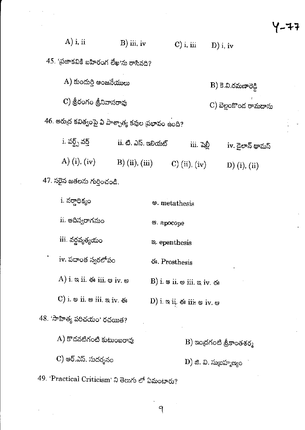| $A)$ i, ii                                                | $B)$ iii, iv              | $C$ ) i, iii     | $\mathbf{D}$ ) i, iv |  |  |  |  |
|-----------------------------------------------------------|---------------------------|------------------|----------------------|--|--|--|--|
| 45. 'ప్రజాకవికి బహిరంగ లేఖ'ను రాసినది?                    |                           |                  |                      |  |  |  |  |
| A) కుందుర్తి అంజనేయులు<br>$\ket{\text{B}}$ కె.వి.రమణారెడి |                           |                  |                      |  |  |  |  |
|                                                           | C) శ్రీరంగం శ్రీనివాసరావు |                  |                      |  |  |  |  |
| 46. ఆరుద్ర కవిత్వంపై ఏ పాశ్చాత్య కవుల ద్రభావం ఉంది?       |                           |                  |                      |  |  |  |  |
| $\mathrm{i}$ . వర్డ్స్ వర్డ్                              | ii. టి. ఎస్. ఇలియట్       | <u>iii. షెలీ</u> | iv. డైలాన్ థామస్     |  |  |  |  |
| A) (i), (iv)                                              | $B)$ (ii), (iii)          | C) (ii), (iv)    | D) (i), (ii)         |  |  |  |  |

५-५

 $47.$  సరైన జతలను గుర్తించండి.

 $\hat{\mathcal{A}}$ 

| i. వర్తాధిక్యం                                                                       | <b>Solution</b> metathesis                                                 |
|--------------------------------------------------------------------------------------|----------------------------------------------------------------------------|
| ii. ఆదిస్వరాగమం                                                                      | ෂ. apocope                                                                 |
| iii. వర్హవ్యత్యయం                                                                    | a. epenthesis                                                              |
| iv. పదాంత స్వరలోపం                                                                   | <del>ර</del> ඃ. Prosthesis                                                 |
| $(A)$ i. $\approx$ ii. $\ll$ iii. $\approx$ iv. $\approx$                            | B) i. $\circ$ ii. $\circ$ iii. $\circ$ iv. $\circ$                         |
| $\mathbf C)$ i. $\mathfrak s$ ii. $\mathfrak s$ iii. $\mathfrak a$ iv. $\mathfrak s$ | $\left(\mathrm{D}\right)$ i. a ii. és iii. $\circledast$ iv. $\circledast$ |
| 48. 'సాహిత్య పరిచయం' రచయిత?                                                          |                                                                            |
| $A)$ కొదవటిగంటి కుటుంబరావు                                                           | $\mathbf B$ ) ఇంద్రగంటి శ్రీకాంతశర్మ                                       |
| C) అర్.ఎస్. సుదర్శనం                                                                 | D) జి. వి. సుబ్రహ్మణ్యం                                                    |
|                                                                                      |                                                                            |

49. 'Practical Criticism' ని తెలుగు లో ఏమంటారు?

9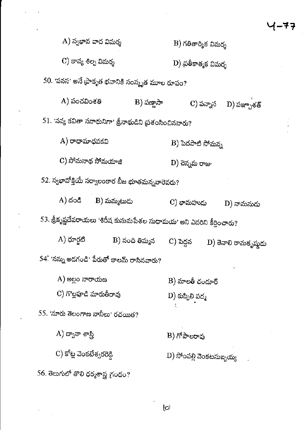A) స్వభావ వాద విమర్శ  $\mathbf B$ ) గతితార్మిక విమర్శ C) కావ్య శిల్ప విమర్శ D) ప్రతీకాత్మక విమర్శ 50. 'పనస' అనే (పాకృత భవానికి సంస్కృత మూల రూపం?  $A)$  పంచవింశతి  $B)$  పణ్ణాసా C) పన్నాస  $\mathbf{D})$  పఞ్చాశత్  $51.$  'నవ్య కవితా సనాథునిగా' త్రీనాథుడిని ప్రశంసించినవారు?  $A)$  రాధామాధవకవి B) పెదపాటి సోమన్న C) సోమనాథ సోమయాజి D) చెన్నమ రాజు 52. స్వభావోక్తియే సర్వాలంకార బీజ భూతమన్నవారెవరు?  $B)$  మమ్మటుడు  $A)$  దండి C) భామహుడు  $D)$  వామనుడు 53. శ్రీకృష్ణదేవరాయలు 'శిరీష కుసుమపేశల సుధామయ' అని ఎవరిని కీర్తించారు?  $A)$  ధూర్ఘటి B) నంది తిమ్మన  $C)$  పెద్దన D) తెనాలి రామకృష్ణదు 54. 'నన్ను అదగండి' పేరుతో కాలమ్ రాసినవారు?  $A)$  అల్లం నారాయణ  $B)$  మాలతీ చందూర్ C) గొల్లపూడి మారుతీరావు D) కుప్పిలి పద్మ 55. 'నూరు తెలంగాణ నానీలు' రచయిత?  $A$ ) ద్వానా శాస్త్రి B) గోపాలరావు  $\mathbf C$ ) కోట్ల వెంకటేశ్వరరెడ్డి  $\left(\mathrm{D}\right)$  సోంపల్లి వెంకటసుబ్బయ్య 56. తెలుగులో తొలి ధర్మశాస్త్ర గ్రంథం?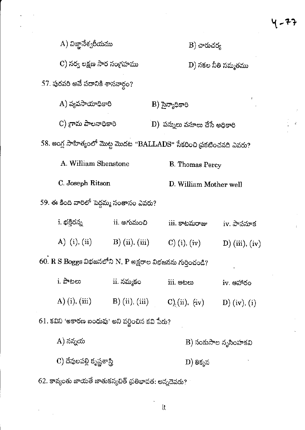$\ddot{\downarrow}$ 

| A) విజ్ఞానేశ్వరీయము                                                                                         |                            | $\ket{\mathrm{B}}$ చారుచర్య       |                      |  |  |  |  |
|-------------------------------------------------------------------------------------------------------------|----------------------------|-----------------------------------|----------------------|--|--|--|--|
|                                                                                                             | C) సర్వ లక్షణ సార సంగ్రహము |                                   | D) సకల నీతి సమ్మతము  |  |  |  |  |
| 57. పురవరి అనే పదానికి శాసనార్థం?                                                                           |                            |                                   |                      |  |  |  |  |
| A) వ్యవసాయాధికారి                                                                                           |                            | $B$ ) సైన్యాధికారి                |                      |  |  |  |  |
| C) గ్రామ పాలనాధికారి                                                                                        |                            | D) పన్నులు వసూలు చేసే అధికారి     |                      |  |  |  |  |
| 58. ఆంగ్ల సాహిత్యంలో మొట్ట మొదట "BALLADS" సేకరించి ప్రకటించనది ఎవరు?                                        |                            |                                   |                      |  |  |  |  |
| A. William Shenstone                                                                                        |                            | <b>B.</b> Thomas Percy            |                      |  |  |  |  |
| C. Joseph Ritson                                                                                            |                            | D. William Mother well            |                      |  |  |  |  |
| 59. ఈ కింది వారిలో పెద్దమ్మ సంతానం ఎవరు?                                                                    |                            |                                   |                      |  |  |  |  |
| i. భక్తిరన్న                                                                                                | ii. అగుమంచి                | iii. కాటమరాజు                     | iv. పాపనూక           |  |  |  |  |
| A) (i), (ii)                                                                                                | $B)$ (ii), (iii)           | $C)$ (i), (iv)                    | D) (iii), (iv)       |  |  |  |  |
| $60.~\mathrm{R}~\mathrm{S}~\mathrm{Bog}$ gs విభజనలోని $\mathrm{N},~\mathrm{P}$ అక్షరాల విభజనను గుర్తించండి? |                            |                                   |                      |  |  |  |  |
| i. పాటలు                                                                                                    | ii. నమ్మకం                 | iii. ఆటలు                         | iv. ఆహారం            |  |  |  |  |
| A) (i), (iii)                                                                                               |                            | B) (ii), (iii) $C_{1}$ (ii), (iv) | $D)$ (iv), (i)       |  |  |  |  |
| 61. కవిని 'అకారణ బంధువు' అని వర్ణించిన కవి పేరు?                                                            |                            |                                   |                      |  |  |  |  |
| A) నన్నయ                                                                                                    |                            |                                   | B) సంకుసాల నృసింహకవి |  |  |  |  |
| C) దేవులపల్లి కృష్ణశాస్త్రి                                                                                 |                            | D) తిక్కన                         |                      |  |  |  |  |

 $62$ . కావ్యంతు జాయతే జాతుకస్యచిత్ ధ్రతిభావత: అన్నదెవరు? $^+$ 

 $\ddot{\phantom{a}}$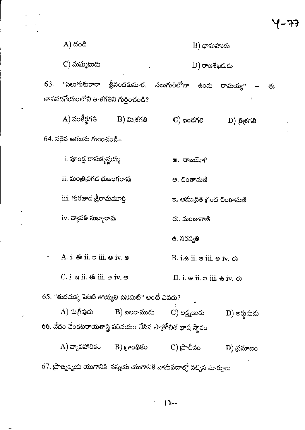| 63. | A) దండి<br>$\mathbf C$ ) మమ్మటుదు<br>"నలుగుకురారా<br>జానపదగేయంలోని తాళగతిని గుర్తించండి? | త్రీనందకుమార, నలుగురిలోనా                                   |             | $\mathbf B$ ) భామహుదు<br>$D)$ రాజశేఖరుడు            |                                                                            |   |  |
|-----|------------------------------------------------------------------------------------------|-------------------------------------------------------------|-------------|-----------------------------------------------------|----------------------------------------------------------------------------|---|--|
|     |                                                                                          |                                                             |             |                                                     |                                                                            |   |  |
|     |                                                                                          |                                                             |             |                                                     |                                                                            |   |  |
|     |                                                                                          |                                                             |             | ఉందు                                                | రామయ్య"                                                                    | ఈ |  |
|     |                                                                                          |                                                             |             |                                                     |                                                                            |   |  |
|     | A) సంకీర్ణగతి                                                                            | $B)$ మి $\check{\sigma}$ గతి                                | C) ఖందగతి   |                                                     | $ D\rangle$ త్రిశ్రగతి                                                     |   |  |
|     | 64. సరైన జతలను గురించండి–                                                                |                                                             |             |                                                     |                                                                            |   |  |
|     | i. పూండ్ల రామకృష్ణయ్య                                                                    |                                                             | అ. రాజయోగి  |                                                     |                                                                            |   |  |
|     | ii. మంత్రిథగడ భుజంగరావు                                                                  |                                                             | అ. చింతామణి |                                                     |                                                                            |   |  |
|     | iii. గురజాద శ్రీరామమూర్తి                                                                |                                                             |             |                                                     | ఇ. అముద్రిత గ్రంథ చింతామణి                                                 |   |  |
|     | iv. న్యాపతి సుబ్బారావు                                                                   |                                                             | ఈ. మంజువాణి |                                                     |                                                                            |   |  |
|     |                                                                                          |                                                             | ఉ. సరస్వతి  |                                                     |                                                                            |   |  |
|     | A. i. $68$ ii. $\infty$ iii. $\infty$ iv. $\infty$                                       |                                                             |             | $B.$ i.e ii. $\otimes$ iii. $\otimes$ iv. $\otimes$ |                                                                            |   |  |
|     | $C.$ i. $a$ ii. $a$ iii. $\omega$ iv. $a$                                                |                                                             |             |                                                     | D. i. $\circledast$ ii. $\circledast$ iii. $\circledast$ iv. $\circledast$ |   |  |
|     |                                                                                          | 65. "తుదచుక్క పేరిటి తొయ్యలి పెనిమిటి" అంటే ఎవరు?           |             |                                                     |                                                                            |   |  |
|     |                                                                                          | A) సుగీవుడు $\qquad$ B) బలరాముడు $\qquad$ C) లక్ష్మణుడు     |             |                                                     | - D) అర్హుమడు                                                              |   |  |
|     |                                                                                          | 66. వేదం వేంకటరాయశాస్త్రి పరిచయం చేసిన పాత్రోచిత భాష స్థానం |             |                                                     |                                                                            |   |  |
|     |                                                                                          | A) వ్యావహారికం B) గ్రాంథికం                                 | C) (పాచీనం  |                                                     | $\mathbf{D})$ ద్రమాణం                                                      |   |  |

 $\label{eq:2.1} \frac{1}{\sqrt{2}}\left(\frac{1}{\sqrt{2}}\right)^{2} \left(\frac{1}{\sqrt{2}}\right)^{2} \left(\frac{1}{\sqrt{2}}\right)^{2} \left(\frac{1}{\sqrt{2}}\right)^{2} \left(\frac{1}{\sqrt{2}}\right)^{2} \left(\frac{1}{\sqrt{2}}\right)^{2} \left(\frac{1}{\sqrt{2}}\right)^{2} \left(\frac{1}{\sqrt{2}}\right)^{2} \left(\frac{1}{\sqrt{2}}\right)^{2} \left(\frac{1}{\sqrt{2}}\right)^{2} \left(\frac{1}{\sqrt{2}}\right)^{2} \left(\$ 

 $\mathcal{L}^{\text{max}}(\mathcal{L}^{\text{max}})$ 

 $\label{eq:2} \frac{1}{\sqrt{2}}\left(\frac{1}{\sqrt{2}}\right)^{2} \left(\frac{1}{\sqrt{2}}\right)^{2} \left(\frac{1}{\sqrt{2}}\right)^{2} \left(\frac{1}{\sqrt{2}}\right)^{2} \left(\frac{1}{\sqrt{2}}\right)^{2} \left(\frac{1}{\sqrt{2}}\right)^{2} \left(\frac{1}{\sqrt{2}}\right)^{2} \left(\frac{1}{\sqrt{2}}\right)^{2} \left(\frac{1}{\sqrt{2}}\right)^{2} \left(\frac{1}{\sqrt{2}}\right)^{2} \left(\frac{1}{\sqrt{2}}\right)^{2} \left(\frac{$ 

 $\frac{1}{2}$